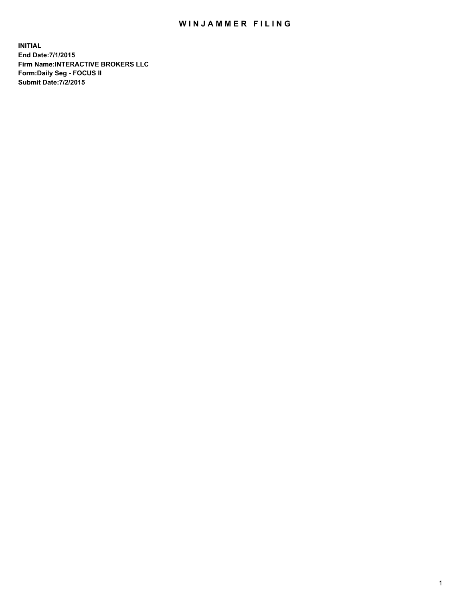## WIN JAMMER FILING

**INITIAL End Date:7/1/2015 Firm Name:INTERACTIVE BROKERS LLC Form:Daily Seg - FOCUS II Submit Date:7/2/2015**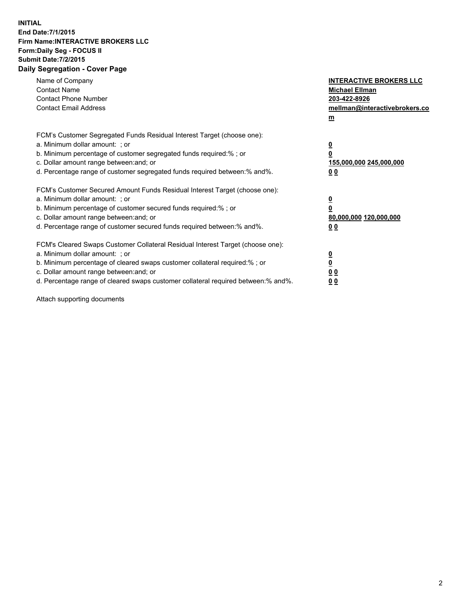## **INITIAL End Date:7/1/2015 Firm Name:INTERACTIVE BROKERS LLC Form:Daily Seg - FOCUS II Submit Date:7/2/2015 Daily Segregation - Cover Page**

| Name of Company<br><b>Contact Name</b><br><b>Contact Phone Number</b><br><b>Contact Email Address</b>                                                                                                                                                                                                                          | <b>INTERACTIVE BROKERS LLC</b><br><b>Michael Ellman</b><br>203-422-8926<br>mellman@interactivebrokers.co<br>$m$ |
|--------------------------------------------------------------------------------------------------------------------------------------------------------------------------------------------------------------------------------------------------------------------------------------------------------------------------------|-----------------------------------------------------------------------------------------------------------------|
| FCM's Customer Segregated Funds Residual Interest Target (choose one):<br>a. Minimum dollar amount: ; or<br>b. Minimum percentage of customer segregated funds required:% ; or<br>c. Dollar amount range between: and; or<br>d. Percentage range of customer segregated funds required between:% and%.                         | $\overline{\mathbf{0}}$<br>0<br>155,000,000 245,000,000<br>0 <sub>0</sub>                                       |
| FCM's Customer Secured Amount Funds Residual Interest Target (choose one):<br>a. Minimum dollar amount: ; or<br>b. Minimum percentage of customer secured funds required:%; or<br>c. Dollar amount range between: and; or<br>d. Percentage range of customer secured funds required between: % and %.                          | $\underline{\mathbf{0}}$<br>0<br>80,000,000 120,000,000<br>0 <sub>0</sub>                                       |
| FCM's Cleared Swaps Customer Collateral Residual Interest Target (choose one):<br>a. Minimum dollar amount: ; or<br>b. Minimum percentage of cleared swaps customer collateral required:% ; or<br>c. Dollar amount range between: and; or<br>d. Percentage range of cleared swaps customer collateral required between:% and%. | $\overline{\mathbf{0}}$<br>$\overline{\mathbf{0}}$<br>0 <sub>0</sub><br>0 <sup>0</sup>                          |

Attach supporting documents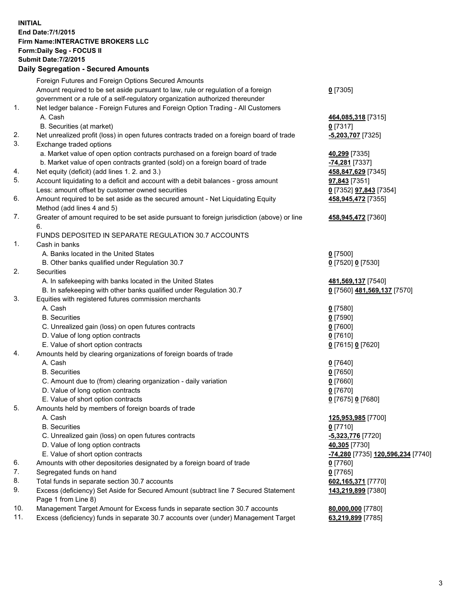## **INITIAL End Date:7/1/2015 Firm Name:INTERACTIVE BROKERS LLC Form:Daily Seg - FOCUS II Submit Date:7/2/2015 Daily Segregation - Secured Amounts**

|     | <u>, pany ovyrvyatron ovodrod Amodrite</u>                                                                 |                                   |
|-----|------------------------------------------------------------------------------------------------------------|-----------------------------------|
|     | Foreign Futures and Foreign Options Secured Amounts                                                        |                                   |
|     | Amount required to be set aside pursuant to law, rule or regulation of a foreign                           | $0$ [7305]                        |
|     | government or a rule of a self-regulatory organization authorized thereunder                               |                                   |
| 1.  | Net ledger balance - Foreign Futures and Foreign Option Trading - All Customers                            |                                   |
|     | A. Cash                                                                                                    | 464,085,318 [7315]                |
|     | B. Securities (at market)                                                                                  | $0$ [7317]                        |
| 2.  | Net unrealized profit (loss) in open futures contracts traded on a foreign board of trade                  | $-5,203,707$ [7325]               |
| 3.  | Exchange traded options                                                                                    |                                   |
|     | a. Market value of open option contracts purchased on a foreign board of trade                             | 40,299 [7335]                     |
|     | b. Market value of open contracts granted (sold) on a foreign board of trade                               | -74,281 [7337]                    |
| 4.  | Net equity (deficit) (add lines 1. 2. and 3.)                                                              | 458,847,629 [7345]                |
| 5.  | Account liquidating to a deficit and account with a debit balances - gross amount                          | 97,843 [7351]                     |
|     | Less: amount offset by customer owned securities                                                           | 0 [7352] 97,843 [7354]            |
| 6.  | Amount required to be set aside as the secured amount - Net Liquidating Equity                             | 458,945,472 [7355]                |
|     | Method (add lines 4 and 5)                                                                                 |                                   |
| 7.  | Greater of amount required to be set aside pursuant to foreign jurisdiction (above) or line                | 458,945,472 [7360]                |
|     | 6.                                                                                                         |                                   |
|     | FUNDS DEPOSITED IN SEPARATE REGULATION 30.7 ACCOUNTS                                                       |                                   |
| 1.  | Cash in banks                                                                                              |                                   |
|     | A. Banks located in the United States                                                                      | $0$ [7500]                        |
|     | B. Other banks qualified under Regulation 30.7                                                             | 0 [7520] 0 [7530]                 |
| 2.  | <b>Securities</b>                                                                                          |                                   |
|     | A. In safekeeping with banks located in the United States                                                  | 481,569,137 [7540]                |
|     | B. In safekeeping with other banks qualified under Regulation 30.7                                         | 0 [7560] 481,569,137 [7570]       |
| 3.  | Equities with registered futures commission merchants                                                      |                                   |
|     | A. Cash                                                                                                    | $0$ [7580]                        |
|     | <b>B.</b> Securities                                                                                       | $0$ [7590]                        |
|     | C. Unrealized gain (loss) on open futures contracts                                                        | $0$ [7600]                        |
|     | D. Value of long option contracts                                                                          | $0$ [7610]                        |
|     | E. Value of short option contracts                                                                         | 0 [7615] 0 [7620]                 |
| 4.  | Amounts held by clearing organizations of foreign boards of trade                                          |                                   |
|     | A. Cash                                                                                                    | $0$ [7640]                        |
|     | <b>B.</b> Securities                                                                                       | $0$ [7650]                        |
|     | C. Amount due to (from) clearing organization - daily variation                                            | $0$ [7660]                        |
|     | D. Value of long option contracts                                                                          | $0$ [7670]                        |
|     | E. Value of short option contracts                                                                         | 0 [7675] 0 [7680]                 |
| 5.  | Amounts held by members of foreign boards of trade                                                         |                                   |
|     | A. Cash                                                                                                    | 125,953,985 [7700]                |
|     | <b>B.</b> Securities                                                                                       | $0$ [7710]                        |
|     | C. Unrealized gain (loss) on open futures contracts                                                        | <u>-5,323,776</u> [7720]          |
|     | D. Value of long option contracts                                                                          | 40,305 [7730]                     |
|     | E. Value of short option contracts                                                                         | -74,280 [7735] 120,596,234 [7740] |
| 6.  | Amounts with other depositories designated by a foreign board of trade                                     | $0$ [7760]                        |
| 7.  | Segregated funds on hand                                                                                   | $0$ [7765]                        |
| 8.  | Total funds in separate section 30.7 accounts                                                              | 602,165,371 [7770]                |
| 9.  | Excess (deficiency) Set Aside for Secured Amount (subtract line 7 Secured Statement<br>Page 1 from Line 8) | 143,219,899 [7380]                |
| 10. | Management Target Amount for Excess funds in separate section 30.7 accounts                                | 80,000,000 [7780]                 |
| 11. | Excess (deficiency) funds in separate 30.7 accounts over (under) Management Target                         | 63,219,899 [7785]                 |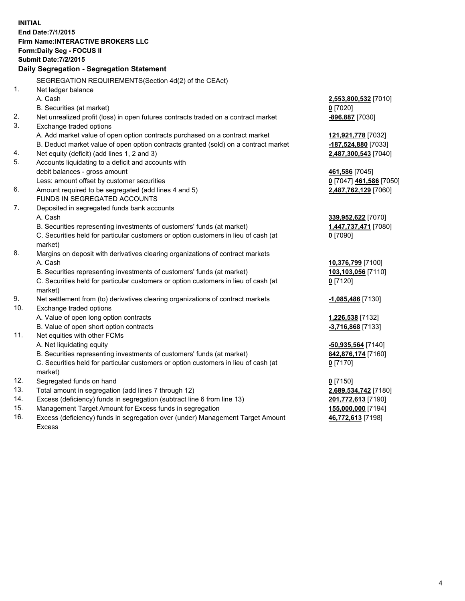**INITIAL End Date:7/1/2015 Firm Name:INTERACTIVE BROKERS LLC Form:Daily Seg - FOCUS II Submit Date:7/2/2015 Daily Segregation - Segregation Statement** SEGREGATION REQUIREMENTS(Section 4d(2) of the CEAct) 1. Net ledger balance A. Cash **2,553,800,532** [7010] B. Securities (at market) **0** [7020] 2. Net unrealized profit (loss) in open futures contracts traded on a contract market **-896,887** [7030] 3. Exchange traded options A. Add market value of open option contracts purchased on a contract market **121,921,778** [7032] B. Deduct market value of open option contracts granted (sold) on a contract market **-187,524,880** [7033] 4. Net equity (deficit) (add lines 1, 2 and 3) **2,487,300,543** [7040] 5. Accounts liquidating to a deficit and accounts with debit balances - gross amount **461,586** [7045] Less: amount offset by customer securities **0** [7047] **461,586** [7050] 6. Amount required to be segregated (add lines 4 and 5) **2,487,762,129** [7060] FUNDS IN SEGREGATED ACCOUNTS 7. Deposited in segregated funds bank accounts A. Cash **339,952,622** [7070] B. Securities representing investments of customers' funds (at market) **1,447,737,471** [7080] C. Securities held for particular customers or option customers in lieu of cash (at market) **0** [7090] 8. Margins on deposit with derivatives clearing organizations of contract markets A. Cash **10,376,799** [7100] B. Securities representing investments of customers' funds (at market) **103,103,056** [7110] C. Securities held for particular customers or option customers in lieu of cash (at market) **0** [7120] 9. Net settlement from (to) derivatives clearing organizations of contract markets **-1,085,486** [7130] 10. Exchange traded options A. Value of open long option contracts **1,226,538** [7132] B. Value of open short option contracts **-3,716,868** [7133] 11. Net equities with other FCMs A. Net liquidating equity **-50,935,564** [7140] B. Securities representing investments of customers' funds (at market) **842,876,174** [7160] C. Securities held for particular customers or option customers in lieu of cash (at market) **0** [7170] 12. Segregated funds on hand **0** [7150] 13. Total amount in segregation (add lines 7 through 12) **2,689,534,742** [7180] 14. Excess (deficiency) funds in segregation (subtract line 6 from line 13) **201,772,613** [7190] 15. Management Target Amount for Excess funds in segregation **155,000,000** [7194]

16. Excess (deficiency) funds in segregation over (under) Management Target Amount Excess

**46,772,613** [7198]